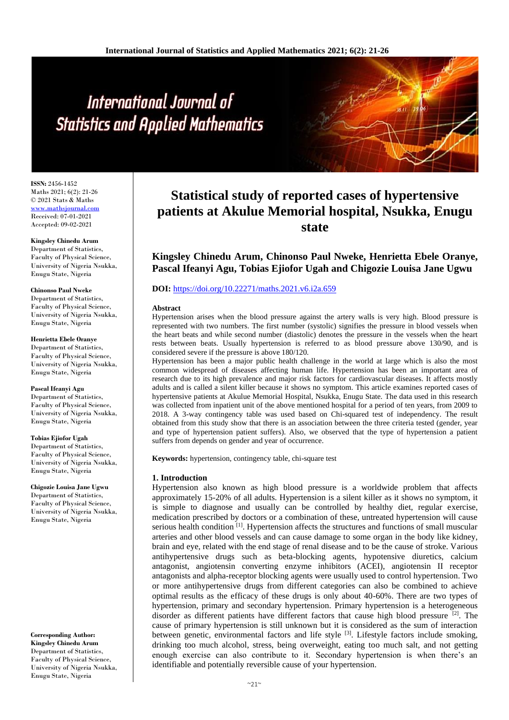# International Journal of **Statistics and Applied Mathematics**

**ISSN:** 2456-1452 Maths 2021; 6(2): 21-26 © 2021 Stats & Maths <www.mathsjournal.com> Received: 07-01-2021 Accepted: 09-02-2021

**Kingsley Chinedu Arum** Department of Statistics, Faculty of Physical Science, University of Nigeria Nsukka, Enugu State, Nigeria

**Chinonso Paul Nweke** Department of Statistics, Faculty of Physical Science, University of Nigeria Nsukka, Enugu State, Nigeria

**Henrietta Ebele Oranye** Department of Statistics, Faculty of Physical Science, University of Nigeria Nsukka, Enugu State, Nigeria

**Pascal Ifeanyi Agu** Department of Statistics, Faculty of Physical Science, University of Nigeria Nsukka, Enugu State, Nigeria

**Tobias Ejiofor Ugah** Department of Statistics, Faculty of Physical Science, University of Nigeria Nsukka, Enugu State, Nigeria

**Chigozie Louisa Jane Ugwu** Department of Statistics, Faculty of Physical Science, University of Nigeria Nsukka, Enugu State, Nigeria

**Corresponding Author: Kingsley Chinedu Arum**

Department of Statistics, Faculty of Physical Science, University of Nigeria Nsukka, Enugu State, Nigeria

# **Statistical study of reported cases of hypertensive patients at Akulue Memorial hospital, Nsukka, Enugu state**

**Kingsley Chinedu Arum, Chinonso Paul Nweke, Henrietta Ebele Oranye, Pascal Ifeanyi Agu, Tobias Ejiofor Ugah and Chigozie Louisa Jane Ugwu**

# **DOI:** <https://doi.org/10.22271/maths.2021.v6.i2a.659>

#### **Abstract**

Hypertension arises when the blood pressure against the artery walls is very high. Blood pressure is represented with two numbers. The first number (systolic) signifies the pressure in blood vessels when the heart beats and while second number (diastolic) denotes the pressure in the vessels when the heart rests between beats. Usually hypertension is referred to as blood pressure above 130/90, and is considered severe if the pressure is above 180/120.

Hypertension has been a major public health challenge in the world at large which is also the most common widespread of diseases affecting human life. Hypertension has been an important area of research due to its high prevalence and major risk factors for cardiovascular diseases. It affects mostly adults and is called a silent killer because it shows no symptom. This article examines reported cases of hypertensive patients at Akulue Memorial Hospital, Nsukka, Enugu State. The data used in this research was collected from inpatient unit of the above mentioned hospital for a period of ten years, from 2009 to 2018. A 3-way contingency table was used based on Chi-squared test of independency. The result obtained from this study show that there is an association between the three criteria tested (gender, year and type of hypertension patient suffers). Also, we observed that the type of hypertension a patient suffers from depends on gender and year of occurrence.

**Keywords:** hypertension, contingency table, chi-square test

# **1. Introduction**

Hypertension also known as high blood pressure is a worldwide problem that affects approximately 15-20% of all adults. Hypertension is a silent killer as it shows no symptom, it is simple to diagnose and usually can be controlled by healthy diet, regular exercise, medication prescribed by doctors or a combination of these, untreated hypertension will cause serious health condition  $\left[1\right]$ . Hypertension affects the structures and functions of small muscular arteries and other blood vessels and can cause damage to some organ in the body like kidney, brain and eye, related with the end stage of renal disease and to be the cause of stroke. Various antihypertensive drugs such as beta-blocking agents, hypotensive diuretics, calcium antagonist, angiotensin converting enzyme inhibitors (ACEI), angiotensin II receptor antagonists and alpha-receptor blocking agents were usually used to control hypertension. Two or more antihypertensive drugs from different categories can also be combined to achieve optimal results as the efficacy of these drugs is only about 40-60%. There are two types of hypertension, primary and secondary hypertension. Primary hypertension is a heterogeneous disorder as different patients have different factors that cause high blood pressure  $^{[2]}$ . The cause of primary hypertension is still unknown but it is considered as the sum of interaction between genetic, environmental factors and life style <sup>[3]</sup>. Lifestyle factors include smoking, drinking too much alcohol, stress, being overweight, eating too much salt, and not getting enough exercise can also contribute to it. Secondary hypertension is when there's an identifiable and potentially reversible cause of your hypertension.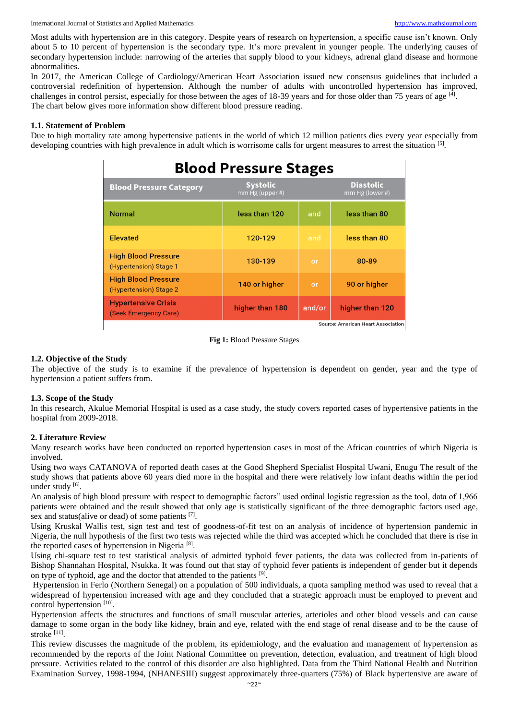Most adults with hypertension are in this category. Despite years of research on hypertension, a specific cause isn't known. Only about 5 to 10 percent of hypertension is the secondary type. It's more prevalent in younger people. The underlying causes of secondary hypertension include: narrowing of the arteries that supply blood to your kidneys, adrenal gland disease and hormone abnormalities.

In 2017, the American College of Cardiology/American Heart Association issued new consensus guidelines that included a controversial redefinition of hypertension. Although the number of adults with uncontrolled hypertension has improved, challenges in control persist, especially for those between the ages of 18-39 years and for those older than 75 years of age [4]. The chart below gives more information show different blood pressure reading.

# **1.1. Statement of Problem**

Due to high mortality rate among hypertensive patients in the world of which 12 million patients dies every year especially from developing countries with high prevalence in adult which is worrisome calls for urgent measures to arrest the situation [5].

| <b>Blood Pressure Stages</b>                         |                                    |        |                                     |  |
|------------------------------------------------------|------------------------------------|--------|-------------------------------------|--|
| <b>Blood Pressure Category</b>                       | <b>Systolic</b><br>mm Hg (upper #) |        | <b>Diastolic</b><br>mm Hg (lower #) |  |
| <b>Normal</b>                                        | less than 120                      | and    | less than 80                        |  |
| <b>Elevated</b>                                      | 120-129                            | and    | less than 80                        |  |
| <b>High Blood Pressure</b><br>(Hypertension) Stage 1 | 130-139                            | or     | 80-89                               |  |
| <b>High Blood Pressure</b><br>(Hypertension) Stage 2 | 140 or higher                      | or     | 90 or higher                        |  |
| <b>Hypertensive Crisis</b><br>(Seek Emergency Care)  | higher than 180                    | and/or | higher than 120                     |  |

**Source: American Heart Association** 

#### **Fig 1:** Blood Pressure Stages

### **1.2. Objective of the Study**

The objective of the study is to examine if the prevalence of hypertension is dependent on gender, year and the type of hypertension a patient suffers from.

#### **1.3. Scope of the Study**

In this research, Akulue Memorial Hospital is used as a case study, the study covers reported cases of hypertensive patients in the hospital from 2009-2018.

# **2. Literature Review**

Many research works have been conducted on reported hypertension cases in most of the African countries of which Nigeria is involved.

Using two ways CATANOVA of reported death cases at the Good Shepherd Specialist Hospital Uwani, Enugu The result of the study shows that patients above 60 years died more in the hospital and there were relatively low infant deaths within the period under study [6].

An analysis of high blood pressure with respect to demographic factors" used ordinal logistic regression as the tool, data of 1,966 patients were obtained and the result showed that only age is statistically significant of the three demographic factors used age, sex and status(alive or dead) of some patients [7].

Using Kruskal Wallis test, sign test and test of goodness-of-fit test on an analysis of incidence of hypertension pandemic in Nigeria, the null hypothesis of the first two tests was rejected while the third was accepted which he concluded that there is rise in the reported cases of hypertension in Nigeria<sup>[8]</sup>.

Using chi-square test to test statistical analysis of admitted typhoid fever patients, the data was collected from in-patients of Bishop Shannahan Hospital, Nsukka. It was found out that stay of typhoid fever patients is independent of gender but it depends on type of typhoid, age and the doctor that attended to the patients [9].

Hypertension in Ferlo (Northern Senegal) on a population of 500 individuals, a quota sampling method was used to reveal that a widespread of hypertension increased with age and they concluded that a strategic approach must be employed to prevent and control hypertension [10].

Hypertension affects the structures and functions of small muscular arteries, arterioles and other blood vessels and can cause damage to some organ in the body like kidney, brain and eye, related with the end stage of renal disease and to be the cause of stroke [11] .

This review discusses the magnitude of the problem, its epidemiology, and the evaluation and management of hypertension as recommended by the reports of the Joint National Committee on prevention, detection, evaluation, and treatment of high blood pressure. Activities related to the control of this disorder are also highlighted. Data from the Third National Health and Nutrition Examination Survey, 1998-1994, (NHANESIII) suggest approximately three-quarters (75%) of Black hypertensive are aware of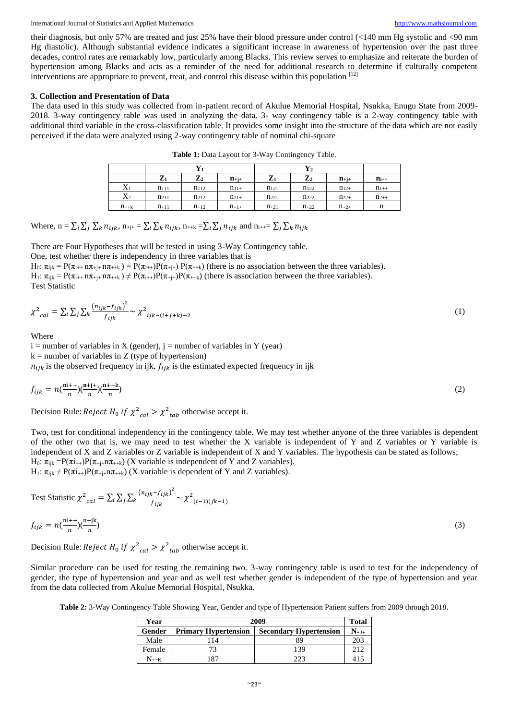their diagnosis, but only 57% are treated and just 25% have their blood pressure under control (<140 mm Hg systolic and <90 mm Hg diastolic). Although substantial evidence indicates a significant increase in awareness of hypertension over the past three decades, control rates are remarkably low, particularly among Blacks. This review serves to emphasize and reiterate the burden of hypertension among Blacks and acts as a reminder of the need for additional research to determine if culturally competent interventions are appropriate to prevent, treat, and control this disease within this population [12]

#### **3. Collection and Presentation of Data**

The data used in this study was collected from in-patient record of Akulue Memorial Hospital, Nsukka, Enugu State from 2009- 2018. 3-way contingency table was used in analyzing the data. 3- way contingency table is a 2-way contingency table with additional third variable in the cross-classification table. It provides some insight into the structure of the data which are not easily perceived if the data were analyzed using 2-way contingency table of nominal chi-square

|           | 77<br>$L_1$ | $\mathbf{Z}_2$ | $n_{+i+}$ | $\mathbf{r}$<br>$L_1$ | $\mathbf{Z}_2$   | $n_{+j+}$ | $n_{i++}$ |
|-----------|-------------|----------------|-----------|-----------------------|------------------|-----------|-----------|
| $X_1$     | $n_{111}$   | $n_{112}$      | $n_{11+}$ | $n_{121}$             | $n_{122}$        | $n_{12+}$ | $n_{1++}$ |
| $X_2$     | $n_{211}$   | <b>n</b> 212   | $n_{21+}$ | $n_{221}$             | n <sub>222</sub> | $n_{22+}$ | $n_{2++}$ |
| $n_{++k}$ | $n_{+11}$   | $n_{+12}$      | $n_{+1+}$ | $n_{+21}$             | $n_{+22}$        | $n_{+2+}$ | n         |

**Table 1:** Data Layout for 3-Way Contingency Table.

Where,  $n = \sum_i \sum_j \sum_k n_{ijk}$ ,  $n_{+j+} = \sum_i \sum_k n_{ijk}$ ,  $n_{++k} = \sum_i \sum_j n_{ijk}$  and  $n_{i++} = \sum_j \sum_k n_{ijk}$ 

There are Four Hypotheses that will be tested in using 3-Way Contingency table.

One, test whether there is independency in three variables that is

H<sub>0</sub>:  $\pi_{ijk} = P(\pi_{i^{i+1}} \pi_{i^{i+1}} \pi_{i^{i+1}}) = P(\pi_{i^{i+1}})P(\pi_{i^{i+1}})P(\pi_{i^{i+1}})$  (there is no association between the three variables).  $H_1: \pi_{ik} = P(\pi_{i+1} \pi_{i+1} \pi_{i+k}) \neq P(\pi_{i+1})P(\pi_{i+1})P(\pi_{i+k})$  (there is association between the three variables). Test Statistic

$$
\chi^2_{cal} = \sum_{i} \sum_{j} \sum_{k} \frac{\left(n_{ijk} - f_{ijk}\right)^2}{f_{ijk}} \sim \chi^2_{ijk - (i+j+k)+2}
$$
\n<sup>(1)</sup>

Where

 $i =$  number of variables in X (gender),  $j =$  number of variables in Y (year)

 $k =$  number of variables in Z (type of hypertension)

 $n_{ijk}$  is the observed frequency in ijk,  $f_{ijk}$  is the estimated expected frequency in ijk

$$
f_{ijk} = n\left(\frac{n^{i+1}}{n}\right)\left(\frac{n^{i+1}}{n}\right)\left(\frac{n^{i+1}}{n}\right) \tag{2}
$$

Decision Rule: *Reject*  $H_0$  *if*  $\chi^2_{cal} > \chi^2_{tab}$  otherwise accept it.

Two, test for conditional independency in the contingency table. We may test whether anyone of the three variables is dependent of the other two that is, we may need to test whether the X variable is independent of Y and Z variables or Y variable is independent of X and Z variables or Z variable is independent of X and Y variables. The hypothesis can be stated as follows; H<sub>0</sub>:  $\pi_{ijk} = P(\pi i_{++})P(\pi_{+i+1}\pi_{++k})$  (X variable is independent of Y and Z variables).  $H_1: \pi_{ijk} \neq P(\pi i_{++})P(\pi_{+j+}n\pi_{+k})$  (X variable is dependent of Y and Z variables).

Test Statistic 
$$
\chi^2_{cal} = \sum_i \sum_j \sum_k \frac{(n_{ijk} - f_{ijk})^2}{f_{ijk}} \sim \chi^2_{(i-1)(jk-1)}
$$
  
\n
$$
f_{ijk} = n\left(\frac{\text{ni++}}{n}\right)\left(\frac{\text{n+jk}}{n}\right)
$$
\n
$$
\text{Decision Poisist } U_{ijk} = \chi^2_{ijk} \quad \text{otherwise, so that it.}
$$
\n(3)

Decision Rule: *Reject*  $H_0$  *if*  $\chi^2_{cal} > \chi^2_{tab}$  otherwise accept it.

Similar procedure can be used for testing the remaining two. 3-way contingency table is used to test for the independency of gender, the type of hypertension and year and as well test whether gender is independent of the type of hypertension and year from the data collected from Akulue Memorial Hospital, Nsukka.

**Table 2:** 3-Way Contingency Table Showing Year, Gender and type of Hypertension Patient suffers from 2009 through 2018*.*

| Year                              | 2009                        |                               |           |
|-----------------------------------|-----------------------------|-------------------------------|-----------|
| Gender                            | <b>Primary Hypertension</b> | <b>Secondary Hypertension</b> | $N_{+J+}$ |
| Male                              | 114                         | 89                            | 203       |
| Female                            | 73                          | 139                           | 212       |
| $N_{\rm \scriptscriptstyle{++K}}$ | 187                         | 223                           | 41'       |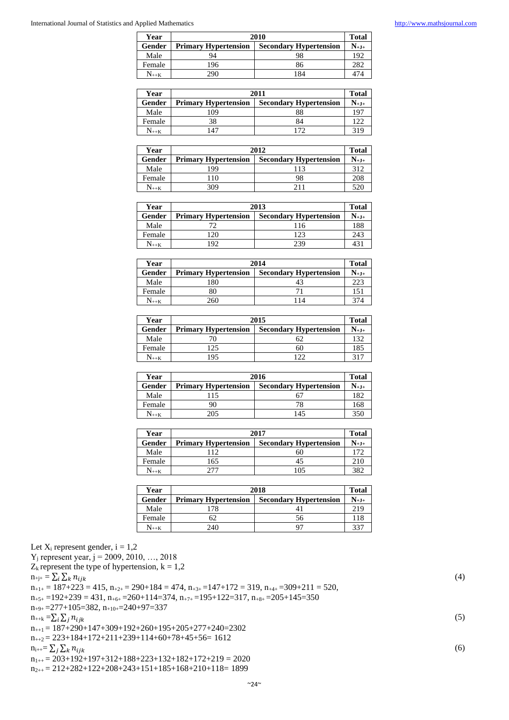| Year            | 2010                        |                               | <b>Total</b> |
|-----------------|-----------------------------|-------------------------------|--------------|
| Gender          | <b>Primary Hypertension</b> | <b>Secondary Hypertension</b> | $N_{+J+}$    |
| Male            | 94                          |                               | 192          |
| Female          | 196                         | 86                            | 282          |
| ${\rm N_{++K}}$ | 290                         | 184                           | 474          |

| Year            | 2011                        |                               |                 |
|-----------------|-----------------------------|-------------------------------|-----------------|
| Gender          | <b>Primary Hypertension</b> | <b>Secondary Hypertension</b> | ${\rm N_{+J+}}$ |
| Male            | 09                          |                               | 197             |
| Female          | 38                          |                               | 122             |
| ${\rm N_{++K}}$ | 47                          | 172                           | 319             |

| Year            | 2012                        |                               |           |
|-----------------|-----------------------------|-------------------------------|-----------|
| Gender          | <b>Primary Hypertension</b> | <b>Secondary Hypertension</b> | $N_{+J+}$ |
| Male            | 199                         |                               | 312       |
| Female          | 110                         | 98                            | 208       |
| ${\rm N_{++K}}$ | 309                         | 211                           | 520       |

| Year            | 2013                        |                               |                 |
|-----------------|-----------------------------|-------------------------------|-----------------|
| Gender          | <b>Primary Hypertension</b> | <b>Secondary Hypertension</b> | ${\rm N_{+J+}}$ |
| Male            | 70                          | 116                           | 188             |
| Female          | 20                          | 123                           | 243             |
| ${\rm N_{++K}}$ | $\overline{Q}$              | 239                           | 43              |

| Year            | 2014                        |                               |                       |
|-----------------|-----------------------------|-------------------------------|-----------------------|
| Gender          | <b>Primary Hypertension</b> | <b>Secondary Hypertension</b> | ${\bf N}_{+{\bf J}+}$ |
| Male            | 180                         | 43                            | 223                   |
| Female          | 80                          |                               | 151                   |
| ${\rm N_{++K}}$ | 260                         | 14                            |                       |

| Year            | 2015                        |                               |           |
|-----------------|-----------------------------|-------------------------------|-----------|
| Gender          | <b>Primary Hypertension</b> | <b>Secondary Hypertension</b> | $N_{+J+}$ |
| Male            |                             | 62                            | 132       |
| Female          | 125                         | 60                            | 185       |
| ${\rm N_{++K}}$ | 195                         | ר רו                          | 317       |

| Year           | 2016                        |                               |           |
|----------------|-----------------------------|-------------------------------|-----------|
| Gender         | <b>Primary Hypertension</b> | <b>Secondary Hypertension</b> | $N_{+J+}$ |
| Male           | 115                         |                               | 182       |
| Female         | 90                          | 78                            | 168       |
| $N_{\rm{++K}}$ | 205                         | 145                           | 350       |

| Year            | 2017                        |                               |           |
|-----------------|-----------------------------|-------------------------------|-----------|
| Gender          | <b>Primary Hypertension</b> | <b>Secondary Hypertension</b> | $N_{+J+}$ |
| Male            | 112.                        | 60                            | 172       |
| Female          | 165                         |                               | 210       |
| ${\rm N_{++K}}$ | 277                         | 105                           | 382       |

| Year                              | 2018                        |                               |                                |
|-----------------------------------|-----------------------------|-------------------------------|--------------------------------|
| Gender                            | <b>Primary Hypertension</b> | <b>Secondary Hypertension</b> | $\mathbf{N}_{+ \mathbf{J} + }$ |
| Male                              | 78                          |                               | 219                            |
| Female                            | 62                          | 56.                           | 118                            |
| $N_{\rm \scriptscriptstyle{++K}}$ | 240                         |                               | 337                            |

Let  $X_i$  represent gender,  $i = 1,2$  $Y_j$  represent year,  $j = 2009, 2010, ..., 2018$  $Z_k$  represent the type of hypertension,  $k = 1,2$  $n_{\text{+j+}} = \sum_{i} \sum_{k} n_{ijk}$  (4)

 $n_{+1+} = 187 + 223 = 415$ ,  $n_{+2+} = 290 + 184 = 474$ ,  $n_{+3+} = 147 + 172 = 319$ ,  $n_{+4+} = 309 + 211 = 520$ ,

 $n_{+5+} = 192+239 = 431$ ,  $n_{+6+} = 260+114=374$ ,  $n_{+7+} = 195+122=317$ ,  $n_{+8+} = 205+145=350$  $n_{+9+} = 277+105 = 382$ ,  $n_{+10+} = 240+97 = 337$ 

 $n_{++k} = \sum_{i} \sum_{j} n_{ijk}$  (5)  $n_{++1} = 187+290+147+309+192+260+195+205+277+240=2302$ 

 $n_{++2} = 223+184+172+211+239+114+60+78+45+56= 1612$ 

 $n_{i++} = \sum_j \sum_k n_{ijk}$  (6)

 $n_{1++} = 203+192+197+312+188+223+132+182+172+219 = 2020$ 

 $n_{2++} = 212+282+122+208+243+151+185+168+210+118=1899$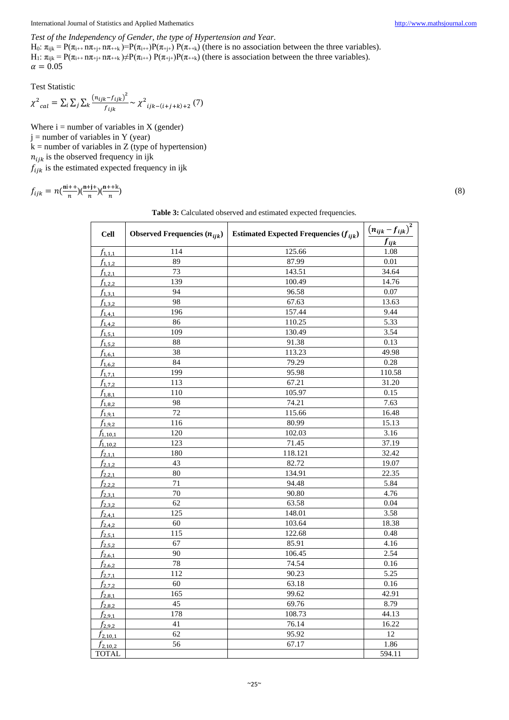# *Test of the Independency of Gender, the type of Hypertension and Year.*

H<sub>0</sub>:  $\pi_{ijk} = P(\pi_{i+1} \pi_{+j+1} \pi_{+k}) = P(\pi_{i+1}) P(\pi_{+j+1}) P(\pi_{++k})$  (there is no association between the three variables). H<sub>1</sub>:  $\pi_{ijk} = P(\pi_{i++} \text{ n} \pi_{+j+} \text{ n} \pi_{++k}) \neq P(\pi_{i++}) P(\pi_{+j+}) P(\pi_{++k})$  (there is association between the three variables).  $\alpha = 0.05$ 

Test Statistic

$$
\chi^{2}_{cal} = \sum_{i} \sum_{j} \sum_{k} \frac{(n_{ijk} - f_{ijk})^{2}}{f_{ijk}} \sim \chi^{2}_{ijk - (i+j+k)+2} (7)
$$

Where  $i =$  number of variables in  $X$  (gender)  $j =$  number of variables in Y (year)  $k =$  number of variables in Z (type of hypertension)  $n_{iik}$  is the observed frequency in ijk  $f_{ijk}$  is the estimated expected frequency in ijk

$$
f_{ijk} = n\left(\frac{n^{i++}}{n}\right)\left(\frac{n+j+}{n}\right)\left(\frac{n++k}{n}\right)
$$

) (8)  $(8)$ 

| Table 3: Calculated observed and estimated expected frequencies. |  |  |
|------------------------------------------------------------------|--|--|
|------------------------------------------------------------------|--|--|

| <b>Cell</b>  | Observed Frequencies $(n_{ijk})$ | Estimated Expected Frequencies $(f_{ijk})$ | $(n_{ijk}-f_{ijk})^2$ |
|--------------|----------------------------------|--------------------------------------------|-----------------------|
|              | 114                              | 125.66                                     | $f_{ijk}$<br>1.08     |
| $f_{1,1,1}$  | 89                               | 87.99                                      | $0.01\,$              |
| $f_{1,1,2}$  | 73                               | 143.51                                     | 34.64                 |
| $f_{1,2,1}$  | 139                              |                                            |                       |
| $f_{1,2,2}$  | 94                               | 100.49<br>96.58                            | 14.76<br>0.07         |
| $f_{1,3,1}$  | 98                               |                                            |                       |
| $f_{1,3,2}$  |                                  | 67.63                                      | 13.63                 |
| $f_{1,4,1}$  | 196                              | 157.44                                     | 9.44                  |
| $f_{1,4,2}$  | 86                               | 110.25                                     | 5.33                  |
| $f_{1,5,1}$  | 109                              | 130.49                                     | 3.54                  |
| $f_{1,5,2}$  | $\overline{88}$                  | 91.38                                      | 0.13                  |
| $f_{1,6,1}$  | 38                               | 113.23                                     | 49.98                 |
| $f_{1,6,2}$  | 84                               | 79.29                                      | 0.28                  |
| $f_{1,7,1}$  | 199                              | $\frac{1}{95.98}$                          | 110.58                |
| $f_{1,7,2}$  | 113                              | 67.21                                      | 31.20                 |
| $f_{1,8,1}$  | 110                              | 105.97                                     | 0.15                  |
| $f_{1,8,2}$  | 98                               | 74.21                                      | 7.63                  |
| $f_{1,9,1}$  | 72                               | 115.66                                     | 16.48                 |
| $f_{1,9,2}$  | 116                              | 80.99                                      | 15.13                 |
| $f_{1,10,1}$ | 120                              | 102.03                                     | 3.16                  |
| $f_{1,10,2}$ | 123                              | 71.45                                      | 37.19                 |
| $f_{2,1,1}$  | 180                              | 118.121                                    | 32.42                 |
| $f_{2,1,2}$  | 43                               | 82.72                                      | 19.07                 |
| $f_{2,2,1}$  | $\overline{80}$                  | 134.91                                     | 22.35                 |
| $f_{2,2,2}$  | 71                               | 94.48                                      | 5.84                  |
| $f_{2,3,1}$  | 70                               | 90.80                                      | 4.76                  |
| $f_{2,3,2}$  | 62                               | 63.58                                      | $0.04\,$              |
| $f_{2,4,1}$  | 125                              | 148.01                                     | 3.58                  |
| $f_{2,4,2}$  | 60                               | 103.64                                     | 18.38                 |
| $f_{2,5,1}$  | 115                              | 122.68                                     | 0.48                  |
| $f_{2,5,2}$  | 67                               | 85.91                                      | 4.16                  |
| $f_{2,6,1}$  | 90                               | 106.45                                     | 2.54                  |
| $f_{2,6,2}$  | 78                               | 74.54                                      | 0.16                  |
| $f_{2,7,1}$  | 112                              | 90.23                                      | 5.25                  |
| $f_{2,7,2}$  | 60                               | 63.18                                      | 0.16                  |
| $f_{2,8,1}$  | 165                              | 99.62                                      | 42.91                 |
| $f_{2,8,2}$  | $\overline{45}$                  | 69.76                                      | 8.79                  |
| $f_{2,9,1}$  | 178                              | 108.73                                     | 44.13                 |
| $f_{2,9,2}$  | 41                               | 76.14                                      | 16.22                 |
| $f_{2,10,1}$ | 62                               | 95.92                                      | 12                    |
| $f_{2,10,2}$ | 56                               | 67.17                                      | 1.86                  |
| <b>TOTAL</b> |                                  |                                            | 594.11                |